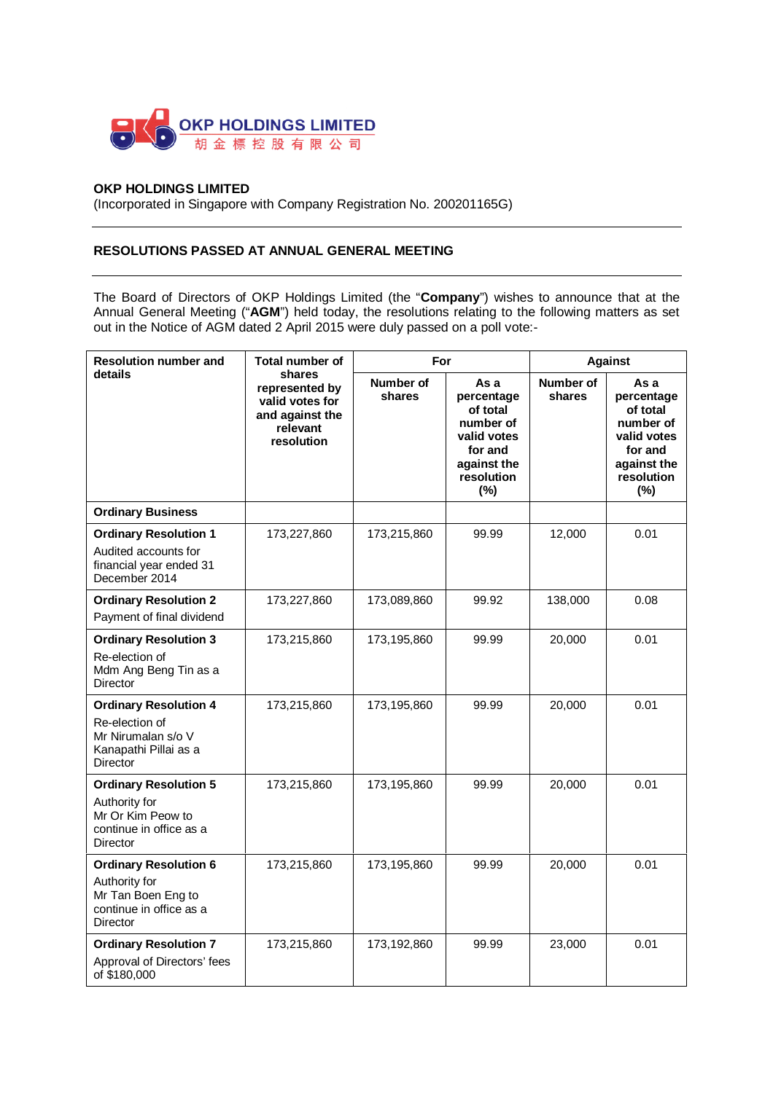

## **OKP HOLDINGS LIMITED**

(Incorporated in Singapore with Company Registration No. 200201165G)

## **RESOLUTIONS PASSED AT ANNUAL GENERAL MEETING**

The Board of Directors of OKP Holdings Limited (the "**Company**") wishes to announce that at the Annual General Meeting ("**AGM**") held today, the resolutions relating to the following matters as set out in the Notice of AGM dated 2 April 2015 were duly passed on a poll vote:-

| <b>Resolution number and</b><br>details                                                                           | <b>Total number of</b><br>shares<br>represented by<br>valid votes for<br>and against the<br>relevant<br>resolution | For                 |                                                                                                           | <b>Against</b>      |                                                                                                           |
|-------------------------------------------------------------------------------------------------------------------|--------------------------------------------------------------------------------------------------------------------|---------------------|-----------------------------------------------------------------------------------------------------------|---------------------|-----------------------------------------------------------------------------------------------------------|
|                                                                                                                   |                                                                                                                    | Number of<br>shares | As a<br>percentage<br>of total<br>number of<br>valid votes<br>for and<br>against the<br>resolution<br>(%) | Number of<br>shares | As a<br>percentage<br>of total<br>number of<br>valid votes<br>for and<br>against the<br>resolution<br>(%) |
| <b>Ordinary Business</b>                                                                                          |                                                                                                                    |                     |                                                                                                           |                     |                                                                                                           |
| <b>Ordinary Resolution 1</b><br>Audited accounts for<br>financial year ended 31<br>December 2014                  | 173,227,860                                                                                                        | 173,215,860         | 99.99                                                                                                     | 12,000              | 0.01                                                                                                      |
| <b>Ordinary Resolution 2</b><br>Payment of final dividend                                                         | 173,227,860                                                                                                        | 173,089,860         | 99.92                                                                                                     | 138,000             | 0.08                                                                                                      |
| <b>Ordinary Resolution 3</b><br>Re-election of<br>Mdm Ang Beng Tin as a<br>Director                               | 173,215,860                                                                                                        | 173,195,860         | 99.99                                                                                                     | 20,000              | 0.01                                                                                                      |
| <b>Ordinary Resolution 4</b><br>Re-election of<br>Mr Nirumalan s/o V<br>Kanapathi Pillai as a<br><b>Director</b>  | 173,215,860                                                                                                        | 173,195,860         | 99.99                                                                                                     | 20,000              | 0.01                                                                                                      |
| <b>Ordinary Resolution 5</b><br>Authority for<br>Mr Or Kim Peow to<br>continue in office as a<br>Director         | 173,215,860                                                                                                        | 173,195,860         | 99.99                                                                                                     | 20,000              | 0.01                                                                                                      |
| <b>Ordinary Resolution 6</b><br>Authority for<br>Mr Tan Boen Eng to<br>continue in office as a<br><b>Director</b> | 173,215,860                                                                                                        | 173,195,860         | 99.99                                                                                                     | 20,000              | 0.01                                                                                                      |
| <b>Ordinary Resolution 7</b><br>Approval of Directors' fees<br>of \$180,000                                       | 173,215,860                                                                                                        | 173,192,860         | 99.99                                                                                                     | 23,000              | 0.01                                                                                                      |